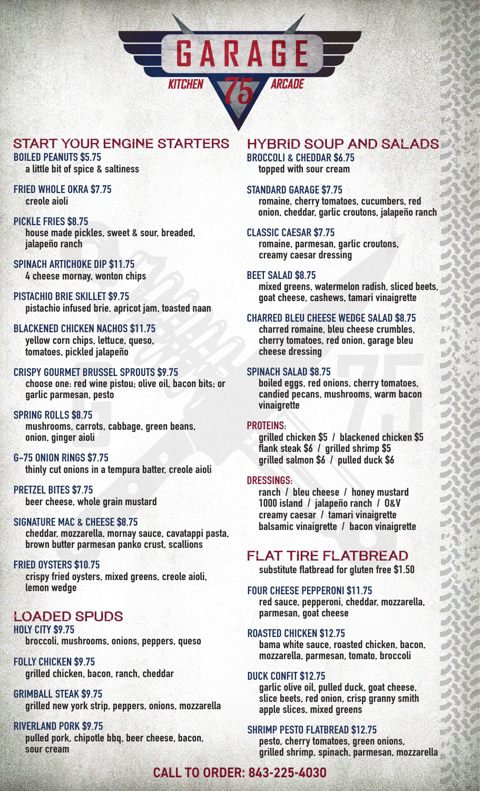

# start your engine starters

#### **BOILED PEANUTS \$5.75 a little bit of spice & saltiness**

**FRIED WHOLE OKRA \$7.75 creole aioli**

#### **PICKLE FRIES \$8.75**

 **house made pickles, sweet & sour, breaded, jalapeño ranch**

## **SPINACH ARTICHOKE DIP \$11.75**

 **4 cheese mornay, wonton chips**

**PISTACHIO BRIE SKILLET \$9.75 pistachio infused brie, apricot jam, toasted naan**

#### **BLACKENED CHICKEN NACHOS \$11.75 yellow corn chips, lettuce, queso,**

 **tomatoes, pickled jalapeño**

#### **CRISPY GOURMET BRUSSEL SPROUTS \$9.75**

 **choose one: red wine pistou; olive oil, bacon bits; or garlic parmesan, pesto**

#### **SPRING ROLLS \$8.75**

 **mushrooms, carrots, cabbage, green beans, onion, ginger aioli**

#### **G-75 ONION RINGS \$7.75**

 **thinly cut onions in a tempura batter, creole aioli** 

**PRETZEL BITES \$7.75 beer cheese, whole grain mustard**

#### **SIGNATURE MAC & CHEESE \$8.75**

 **cheddar, mozzarella, mornay sauce, cavatappi pasta, brown butter parmesan panko crust, scallions**

#### **FRIED OYSTERS \$10.75**

 **crispy fried oysters, mixed greens, creole aioli, lemon wedge**

# loaded spuds

**HOLY CITY \$9.75 broccoli, mushrooms, onions, peppers, queso** 

**FOLLY CHICKEN \$9.75 grilled chicken, bacon, ranch, cheddar**

#### **GRIMBALL STEAK \$9.75 grilled new york strip, peppers, onions, mozzarella**

**RIVERLAND PORK \$9.75 pulled pork, chipotle bbq, beer cheese, bacon, sour cream**

# Hybrid Soup and Salads

**BROCCOLI & CHEDDAR \$6.75 topped with sour cream**

#### **STANDARD GARAGE \$7.75**

 **romaine, cherry tomatoes, cucumbers, red onion, cheddar, garlic croutons, jalapeño ranch**

#### **CLASSIC CAESAR \$7.75**

 **romaine, parmesan, garlic croutons, creamy caesar dressing**

#### **BEET SALAD \$8.75**

 **mixed greens, watermelon radish, sliced beets, goat cheese, cashews, tamari vinaigrette**

#### **CHARRED BLEU CHEESE WEDGE SALAD \$8.75**

 **charred romaine, bleu cheese crumbles, cherry tomatoes, red onion, garage bleu cheese dressing**

#### **SPINACH SALAD \$8.75**

 **boiled eggs, red onions, cherry tomatoes, candied pecans, mushrooms, warm bacon vinaigrette**

#### **PROTEINS:**

 **grilled chicken \$5 / blackened chicken \$5 flank steak \$6 / grilled shrimp \$5 grilled salmon \$6 / pulled duck \$6**

#### **DRESSINGS:**

 **ranch / bleu cheese / honey mustard 1000 island / jalapeño ranch / O&V creamy caesar / tamari vinaigrette balsamic vinaigrette / bacon vinaigrette**

# flat tire flatbread

 **substitute flatbread for gluten free \$1.50**

#### **FOUR CHEESE PEPPERONI \$11.75**

 **red sauce, pepperoni, cheddar, mozzarella, parmesan, goat cheese**

#### **ROASTED CHICKEN \$12.75**

 **bama white sauce, roasted chicken, bacon, mozzarella, parmesan, tomato, broccoli**

#### **DUCK CONFIT \$12.75**

 **garlic olive oil, pulled duck, goat cheese, slice beets, red onion, crisp granny smith apple slices, mixed greens**

#### **SHRIMP PESTO FLATBREAD \$12.75**

 **pesto, cherry tomatoes, green onions, grilled shrimp, spinach, parmesan, mozzarella**

# **CALL TO ORDER: 843-225-4030**